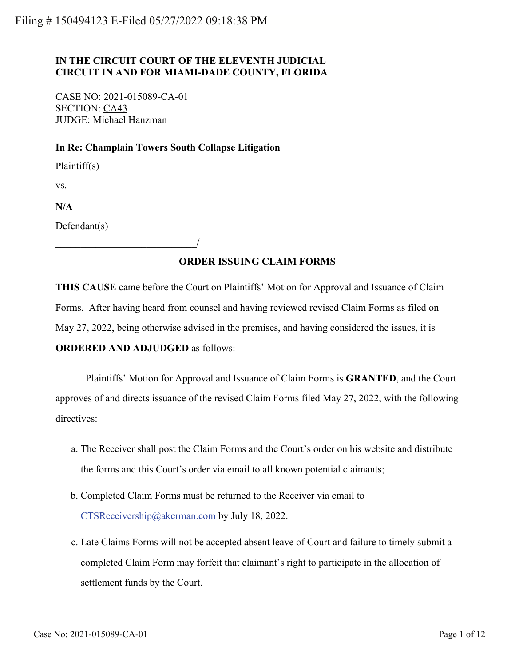## **IN THE CIRCUIT COURT OF THE ELEVENTH JUDICIAL CIRCUIT IN AND FOR MIAMI-DADE COUNTY, FLORIDA**

CASE NO: 2021-015089-CA-01 SECTION: CA43 JUDGE: Michael Hanzman

\_\_\_\_\_\_\_\_\_\_\_\_\_\_\_\_\_\_\_\_\_\_\_\_\_\_\_\_/

## **In Re: Champlain Towers South Collapse Litigation**

Plaintiff(s)

vs.

**N/A**

Defendant(s)

## **ORDER ISSUING CLAIM FORMS**

**THIS CAUSE** came before the Court on Plaintiffs' Motion for Approval and Issuance of Claim Forms. After having heard from counsel and having reviewed revised Claim Forms as filed on May 27, 2022, being otherwise advised in the premises, and having considered the issues, it is **ORDERED AND ADJUDGED** as follows:

Plaintiffs' Motion for Approval and Issuance of Claim Forms is **GRANTED**, and the Court approves of and directs issuance of the revised Claim Forms filed May 27, 2022, with the following directives:

- a. The Receiver shall post the Claim Forms and the Court's order on his website and distribute the forms and this Court's order via email to all known potential claimants;
- b. Completed Claim Forms must be returned to the Receiver via email to [CTSReceivership@akerman.com](mailto:CTSReceivership@akerman.com) by July 18, 2022.
- c. Late Claims Forms will not be accepted absent leave of Court and failure to timely submit a completed Claim Form may forfeit that claimant's right to participate in the allocation of settlement funds by the Court.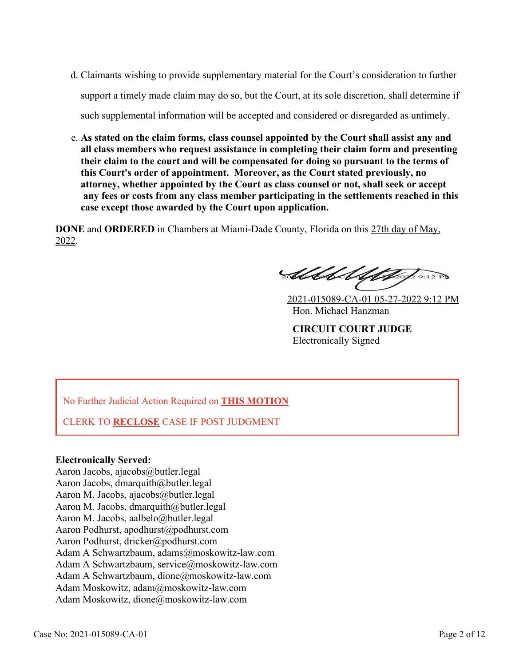- d. Claimants wishing to provide supplementary material for the Court's consideration to further support a timely made claim may do so, but the Court, at its sole discretion, shall determine if such supplemental information will be accepted and considered or disregarded as untimely.
- **As stated on the claim forms, class counsel appointed by the Court shall assist any and** e. **all class members who request assistance in completing their claim form and presenting their claim to the court and will be compensated for doing so pursuant to the terms of this Court's order of appointment. Moreover, as the Court stated previously, no attorney, whether appointed by the Court as class counsel or not, shall seek or accept any fees or costs from any class member participating in the settlements reached in this case except those awarded by the Court upon application.**

**DONE** and **ORDERED** in Chambers at Miami-Dade County, Florida on this 27th day of May, 2022.

Abbel Ultopsofonzes

2021-015089-CA-01 05-27-2022 9:12 PM Hon. Michael Hanzman

**CIRCUIT COURT JUDGE** Electronically Signed

No Further Judicial Action Required on **THIS MOTION**

CLERK TO **RECLOSE** CASE IF POST JUDGMENT

## **Electronically Served:**

Aaron Jacobs, ajacobs@butler.legal Aaron Jacobs, dmarquith@butler.legal Aaron M. Jacobs, ajacobs@butler.legal Aaron M. Jacobs, dmarquith@butler.legal Aaron M. Jacobs, aalbelo@butler.legal Aaron Podhurst, apodhurst@podhurst.com Aaron Podhurst, dricker@podhurst.com Adam A Schwartzbaum, adams@moskowitz-law.com Adam A Schwartzbaum, service@moskowitz-law.com Adam A Schwartzbaum, dione@moskowitz-law.com Adam Moskowitz, adam@moskowitz-law.com Adam Moskowitz, dione@moskowitz-law.com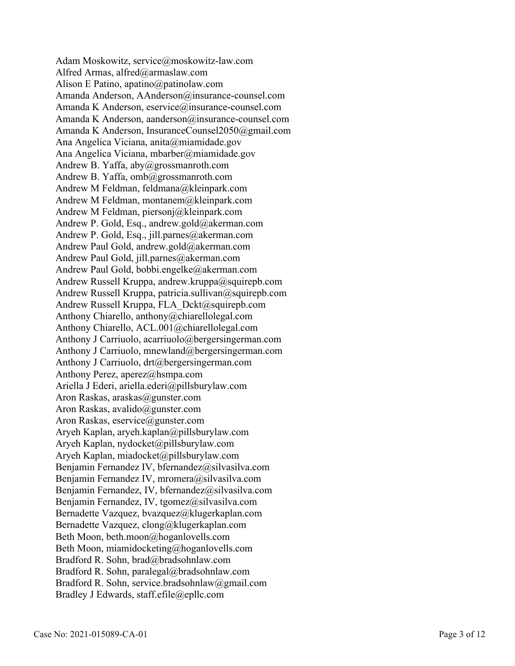Adam Moskowitz, service@moskowitz-law.com Alfred Armas, alfred@armaslaw.com Alison E Patino, apatino@patinolaw.com Amanda Anderson, AAnderson@insurance-counsel.com Amanda K Anderson, eservice@insurance-counsel.com Amanda K Anderson, aanderson@insurance-counsel.com Amanda K Anderson, InsuranceCounsel2050@gmail.com Ana Angelica Viciana, anita@miamidade.gov Ana Angelica Viciana, mbarber@miamidade.gov Andrew B. Yaffa, aby@grossmanroth.com Andrew B. Yaffa, omb@grossmanroth.com Andrew M Feldman, feldmana@kleinpark.com Andrew M Feldman, montanem@kleinpark.com Andrew M Feldman, piersonj@kleinpark.com Andrew P. Gold, Esq., andrew.gold@akerman.com Andrew P. Gold, Esq., jill.parnes@akerman.com Andrew Paul Gold, andrew.gold@akerman.com Andrew Paul Gold, jill.parnes@akerman.com Andrew Paul Gold, bobbi.engelke@akerman.com Andrew Russell Kruppa, andrew.kruppa@squirepb.com Andrew Russell Kruppa, patricia.sullivan@squirepb.com Andrew Russell Kruppa, FLA\_Dckt@squirepb.com Anthony Chiarello, anthony@chiarellolegal.com Anthony Chiarello, ACL.001@chiarellolegal.com Anthony J Carriuolo, acarriuolo@bergersingerman.com Anthony J Carriuolo, mnewland@bergersingerman.com Anthony J Carriuolo, drt@bergersingerman.com Anthony Perez, aperez@hsmpa.com Ariella J Ederi, ariella.ederi@pillsburylaw.com Aron Raskas, araskas@gunster.com Aron Raskas, avalido@gunster.com Aron Raskas, eservice@gunster.com Aryeh Kaplan, aryeh.kaplan@pillsburylaw.com Aryeh Kaplan, nydocket@pillsburylaw.com Aryeh Kaplan, miadocket@pillsburylaw.com Benjamin Fernandez IV, bfernandez@silvasilva.com Benjamin Fernandez IV, mromera@silvasilva.com Benjamin Fernandez, IV, bfernandez@silvasilva.com Benjamin Fernandez, IV, tgomez@silvasilva.com Bernadette Vazquez, bvazquez@klugerkaplan.com Bernadette Vazquez, clong@klugerkaplan.com Beth Moon, beth.moon@hoganlovells.com Beth Moon, miamidocketing@hoganlovells.com Bradford R. Sohn, brad@bradsohnlaw.com Bradford R. Sohn, paralegal@bradsohnlaw.com Bradford R. Sohn, service.bradsohnlaw@gmail.com Bradley J Edwards, staff.efile@epllc.com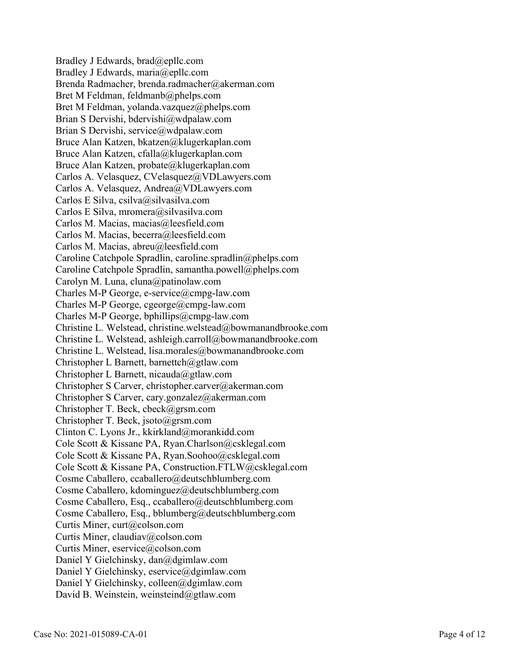Bradley J Edwards, brad@epllc.com Bradley J Edwards, maria@epllc.com Brenda Radmacher, brenda.radmacher@akerman.com Bret M Feldman, feldmanb@phelps.com Bret M Feldman, yolanda.vazquez@phelps.com Brian S Dervishi, bdervishi@wdpalaw.com Brian S Dervishi, service@wdpalaw.com Bruce Alan Katzen, bkatzen@klugerkaplan.com Bruce Alan Katzen, cfalla@klugerkaplan.com Bruce Alan Katzen, probate@klugerkaplan.com Carlos A. Velasquez, CVelasquez@VDLawyers.com Carlos A. Velasquez, Andrea@VDLawyers.com Carlos E Silva, csilva@silvasilva.com Carlos E Silva, mromera@silvasilva.com Carlos M. Macias, macias@leesfield.com Carlos M. Macias, becerra@leesfield.com Carlos M. Macias, abreu@leesfield.com Caroline Catchpole Spradlin, caroline.spradlin@phelps.com Caroline Catchpole Spradlin, samantha.powell@phelps.com Carolyn M. Luna, cluna@patinolaw.com Charles M-P George, e-service@cmpg-law.com Charles M-P George, cgeorge@cmpg-law.com Charles M-P George, bphillips@cmpg-law.com Christine L. Welstead, christine.welstead@bowmanandbrooke.com Christine L. Welstead, ashleigh.carroll@bowmanandbrooke.com Christine L. Welstead, lisa.morales@bowmanandbrooke.com Christopher L Barnett, barnettch@gtlaw.com Christopher L Barnett, nicauda@gtlaw.com Christopher S Carver, christopher.carver@akerman.com Christopher S Carver, cary.gonzalez@akerman.com Christopher T. Beck, cbeck@grsm.com Christopher T. Beck, jsoto@grsm.com Clinton C. Lyons Jr., kkirkland@morankidd.com Cole Scott & Kissane PA, Ryan.Charlson@csklegal.com Cole Scott & Kissane PA, Ryan.Soohoo@csklegal.com Cole Scott & Kissane PA, Construction.FTLW@csklegal.com Cosme Caballero, ccaballero@deutschblumberg.com Cosme Caballero, kdominguez@deutschblumberg.com Cosme Caballero, Esq., ccaballero@deutschblumberg.com Cosme Caballero, Esq., bblumberg@deutschblumberg.com Curtis Miner, curt@colson.com Curtis Miner, claudiav@colson.com Curtis Miner, eservice@colson.com Daniel Y Gielchinsky, dan@dgimlaw.com Daniel Y Gielchinsky, eservice@dgimlaw.com Daniel Y Gielchinsky, colleen@dgimlaw.com David B. Weinstein, weinsteind@gtlaw.com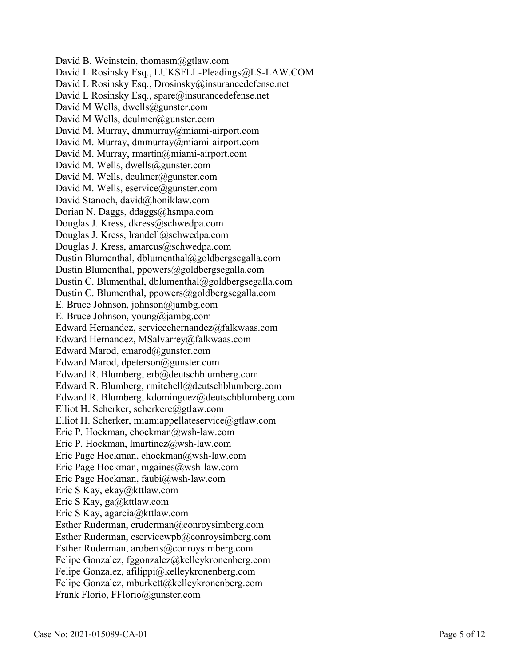David B. Weinstein, thomasm@gtlaw.com David L Rosinsky Esq., LUKSFLL-Pleadings@LS-LAW.COM David L Rosinsky Esq., Drosinsky@insurancedefense.net David L Rosinsky Esq., spare@insurancedefense.net David M Wells, dwells@gunster.com David M Wells, dculmer@gunster.com David M. Murray, dmmurray@miami-airport.com David M. Murray, dmmurray@miami-airport.com David M. Murray, rmartin@miami-airport.com David M. Wells, dwells@gunster.com David M. Wells, dculmer@gunster.com David M. Wells, eservice@gunster.com David Stanoch, david@honiklaw.com Dorian N. Daggs, ddaggs@hsmpa.com Douglas J. Kress, dkress@schwedpa.com Douglas J. Kress, lrandell@schwedpa.com Douglas J. Kress, amarcus@schwedpa.com Dustin Blumenthal, dblumenthal@goldbergsegalla.com Dustin Blumenthal, ppowers@goldbergsegalla.com Dustin C. Blumenthal, dblumenthal@goldbergsegalla.com Dustin C. Blumenthal, ppowers@goldbergsegalla.com E. Bruce Johnson, johnson@jambg.com E. Bruce Johnson, young@jambg.com Edward Hernandez, serviceehernandez@falkwaas.com Edward Hernandez, MSalvarrey@falkwaas.com Edward Marod, emarod@gunster.com Edward Marod, dpeterson@gunster.com Edward R. Blumberg, erb@deutschblumberg.com Edward R. Blumberg, rmitchell@deutschblumberg.com Edward R. Blumberg, kdominguez@deutschblumberg.com Elliot H. Scherker, scherkere@gtlaw.com Elliot H. Scherker, miamiappellateservice@gtlaw.com Eric P. Hockman, ehockman@wsh-law.com Eric P. Hockman, lmartinez@wsh-law.com Eric Page Hockman, ehockman@wsh-law.com Eric Page Hockman, mgaines@wsh-law.com Eric Page Hockman, faubi@wsh-law.com Eric S Kay, ekay@kttlaw.com Eric S Kay, ga@kttlaw.com Eric S Kay, agarcia@kttlaw.com Esther Ruderman, eruderman@conroysimberg.com Esther Ruderman, eservicewpb@conroysimberg.com Esther Ruderman, aroberts@conroysimberg.com Felipe Gonzalez, fggonzalez@kelleykronenberg.com Felipe Gonzalez, afilippi@kelleykronenberg.com Felipe Gonzalez, mburkett@kelleykronenberg.com Frank Florio, FFlorio@gunster.com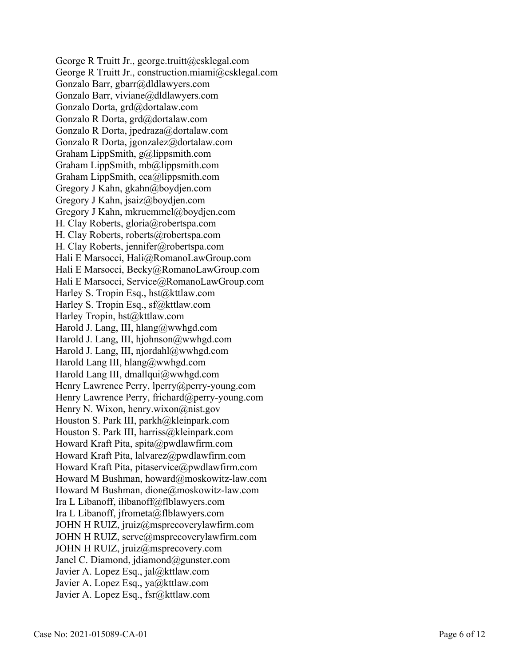George R Truitt Jr., george.truitt@csklegal.com George R Truitt Jr., construction.miami@csklegal.com Gonzalo Barr, gbarr@dldlawyers.com Gonzalo Barr, viviane@dldlawyers.com Gonzalo Dorta, grd@dortalaw.com Gonzalo R Dorta, grd@dortalaw.com Gonzalo R Dorta, jpedraza@dortalaw.com Gonzalo R Dorta, jgonzalez@dortalaw.com Graham LippSmith, g@lippsmith.com Graham LippSmith, mb@lippsmith.com Graham LippSmith, cca@lippsmith.com Gregory J Kahn, gkahn@boydjen.com Gregory J Kahn, jsaiz@boydjen.com Gregory J Kahn, mkruemmel@boydjen.com H. Clay Roberts, gloria@robertspa.com H. Clay Roberts, roberts@robertspa.com H. Clay Roberts, jennifer@robertspa.com Hali E Marsocci, Hali@RomanoLawGroup.com Hali E Marsocci, Becky@RomanoLawGroup.com Hali E Marsocci, Service@RomanoLawGroup.com Harley S. Tropin Esq., hst@kttlaw.com Harley S. Tropin Esq., sf@kttlaw.com Harley Tropin, hst@kttlaw.com Harold J. Lang, III, hlang@wwhgd.com Harold J. Lang, III, hjohnson@wwhgd.com Harold J. Lang, III, njordahl@wwhgd.com Harold Lang III, hlang@wwhgd.com Harold Lang III, dmallqui@wwhgd.com Henry Lawrence Perry, lperry@perry-young.com Henry Lawrence Perry, frichard@perry-young.com Henry N. Wixon, henry.wixon@nist.gov Houston S. Park III, parkh@kleinpark.com Houston S. Park III, harriss@kleinpark.com Howard Kraft Pita, spita@pwdlawfirm.com Howard Kraft Pita, lalvarez@pwdlawfirm.com Howard Kraft Pita, pitaservice@pwdlawfirm.com Howard M Bushman, howard@moskowitz-law.com Howard M Bushman, dione@moskowitz-law.com Ira L Libanoff, ilibanoff@flblawyers.com Ira L Libanoff, jfrometa@flblawyers.com JOHN H RUIZ, jruiz@msprecoverylawfirm.com JOHN H RUIZ, serve@msprecoverylawfirm.com JOHN H RUIZ, jruiz@msprecovery.com Janel C. Diamond, jdiamond@gunster.com Javier A. Lopez Esq., jal@kttlaw.com Javier A. Lopez Esq., ya@kttlaw.com Javier A. Lopez Esq., fsr@kttlaw.com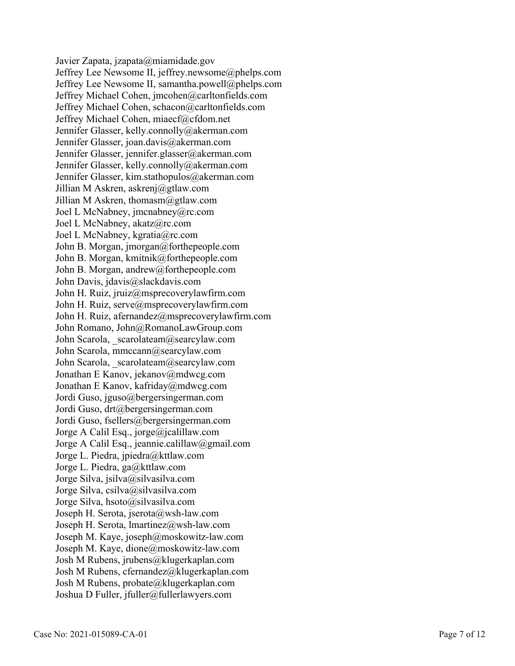Javier Zapata, jzapata@miamidade.gov Jeffrey Lee Newsome II, jeffrey.newsome@phelps.com Jeffrey Lee Newsome II, samantha.powell@phelps.com Jeffrey Michael Cohen, jmcohen@carltonfields.com Jeffrey Michael Cohen, schacon@carltonfields.com Jeffrey Michael Cohen, miaecf@cfdom.net Jennifer Glasser, kelly.connolly@akerman.com Jennifer Glasser, joan.davis@akerman.com Jennifer Glasser, jennifer.glasser@akerman.com Jennifer Glasser, kelly.connolly@akerman.com Jennifer Glasser, kim.stathopulos@akerman.com Jillian M Askren, askrenj@gtlaw.com Jillian M Askren, thomasm@gtlaw.com Joel L McNabney, jmcnabney@rc.com Joel L McNabney, akatz@rc.com Joel L McNabney, kgratia@rc.com John B. Morgan, jmorgan@forthepeople.com John B. Morgan, kmitnik@forthepeople.com John B. Morgan, andrew@forthepeople.com John Davis, jdavis@slackdavis.com John H. Ruiz, jruiz@msprecoverylawfirm.com John H. Ruiz, serve@msprecoverylawfirm.com John H. Ruiz, afernandez@msprecoverylawfirm.com John Romano, John@RomanoLawGroup.com John Scarola, scarolateam@searcylaw.com John Scarola, mmccann@searcylaw.com John Scarola, scarolateam@searcylaw.com Jonathan E Kanov, jekanov@mdwcg.com Jonathan E Kanov, kafriday@mdwcg.com Jordi Guso, jguso@bergersingerman.com Jordi Guso, drt@bergersingerman.com Jordi Guso, fsellers@bergersingerman.com Jorge A Calil Esq., jorge@jcalillaw.com Jorge A Calil Esq., jeannie.calillaw@gmail.com Jorge L. Piedra, jpiedra@kttlaw.com Jorge L. Piedra, ga@kttlaw.com Jorge Silva, jsilva@silvasilva.com Jorge Silva, csilva@silvasilva.com Jorge Silva, hsoto@silvasilva.com Joseph H. Serota, jserota@wsh-law.com Joseph H. Serota, lmartinez@wsh-law.com Joseph M. Kaye, joseph@moskowitz-law.com Joseph M. Kaye, dione@moskowitz-law.com Josh M Rubens, jrubens@klugerkaplan.com Josh M Rubens, cfernandez@klugerkaplan.com Josh M Rubens, probate@klugerkaplan.com Joshua D Fuller, jfuller@fullerlawyers.com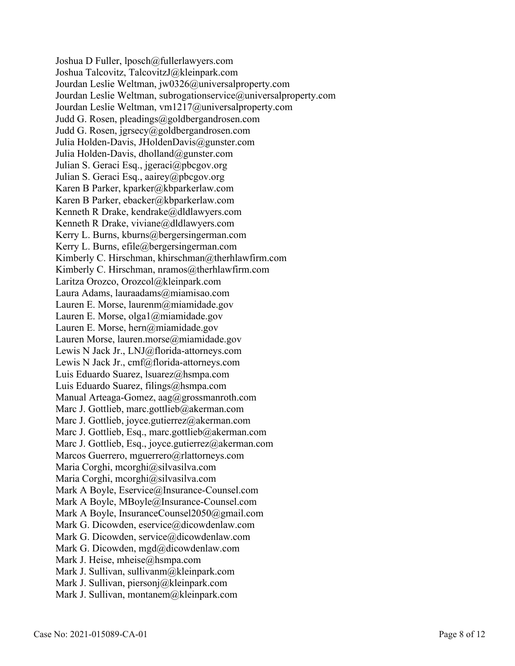Joshua D Fuller, lposch@fullerlawyers.com Joshua Talcovitz, TalcovitzJ@kleinpark.com Jourdan Leslie Weltman, jw0326@universalproperty.com Jourdan Leslie Weltman, subrogationservice@universalproperty.com Jourdan Leslie Weltman, vm1217@universalproperty.com Judd G. Rosen, pleadings@goldbergandrosen.com Judd G. Rosen, jgrsecy@goldbergandrosen.com Julia Holden-Davis, JHoldenDavis@gunster.com Julia Holden-Davis, dholland@gunster.com Julian S. Geraci Esq., jgeraci@pbcgov.org Julian S. Geraci Esq., aairey@pbcgov.org Karen B Parker, kparker@kbparkerlaw.com Karen B Parker, ebacker@kbparkerlaw.com Kenneth R Drake, kendrake@dldlawyers.com Kenneth R Drake, viviane@dldlawyers.com Kerry L. Burns, kburns@bergersingerman.com Kerry L. Burns, efile@bergersingerman.com Kimberly C. Hirschman, khirschman@therhlawfirm.com Kimberly C. Hirschman, nramos@therhlawfirm.com Laritza Orozco, Orozcol@kleinpark.com Laura Adams, lauraadams@miamisao.com Lauren E. Morse, laurenm@miamidade.gov Lauren E. Morse, olga1@miamidade.gov Lauren E. Morse, hern@miamidade.gov Lauren Morse, lauren.morse@miamidade.gov Lewis N Jack Jr., LNJ@florida-attorneys.com Lewis N Jack Jr., cmf@florida-attorneys.com Luis Eduardo Suarez, lsuarez@hsmpa.com Luis Eduardo Suarez, filings@hsmpa.com Manual Arteaga-Gomez, aag@grossmanroth.com Marc J. Gottlieb, marc.gottlieb@akerman.com Marc J. Gottlieb, joyce.gutierrez@akerman.com Marc J. Gottlieb, Esq., marc.gottlieb@akerman.com Marc J. Gottlieb, Esq., joyce.gutierrez@akerman.com Marcos Guerrero, mguerrero@rlattorneys.com Maria Corghi, mcorghi@silvasilva.com Maria Corghi, mcorghi@silvasilva.com Mark A Boyle, Eservice@Insurance-Counsel.com Mark A Boyle, MBoyle@Insurance-Counsel.com Mark A Boyle, InsuranceCounsel2050@gmail.com Mark G. Dicowden, eservice@dicowdenlaw.com Mark G. Dicowden, service@dicowdenlaw.com Mark G. Dicowden, mgd@dicowdenlaw.com Mark J. Heise, mheise@hsmpa.com Mark J. Sullivan, sullivanm@kleinpark.com Mark J. Sullivan, piersonj@kleinpark.com Mark J. Sullivan, montanem@kleinpark.com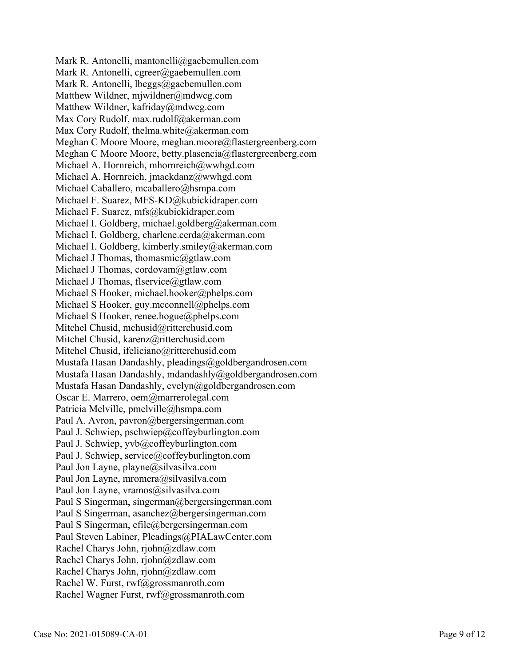Mark R. Antonelli, mantonelli@gaebemullen.com Mark R. Antonelli, cgreer@gaebemullen.com Mark R. Antonelli, lbeggs@gaebemullen.com Matthew Wildner, mjwildner@mdwcg.com Matthew Wildner, kafriday@mdwcg.com Max Cory Rudolf, max.rudolf@akerman.com Max Cory Rudolf, thelma.white@akerman.com Meghan C Moore Moore, meghan.moore@flastergreenberg.com Meghan C Moore Moore, betty.plasencia@flastergreenberg.com Michael A. Hornreich, mhornreich@wwhgd.com Michael A. Hornreich, jmackdanz@wwhgd.com Michael Caballero, mcaballero@hsmpa.com Michael F. Suarez, MFS-KD@kubickidraper.com Michael F. Suarez, mfs@kubickidraper.com Michael I. Goldberg, michael.goldberg@akerman.com Michael I. Goldberg, charlene.cerda@akerman.com Michael I. Goldberg, kimberly.smiley@akerman.com Michael J Thomas, thomasmic@gtlaw.com Michael J Thomas, cordovam@gtlaw.com Michael J Thomas, flservice@gtlaw.com Michael S Hooker, michael.hooker@phelps.com Michael S Hooker, guy.mcconnell@phelps.com Michael S Hooker, renee.hogue@phelps.com Mitchel Chusid, mchusid@ritterchusid.com Mitchel Chusid, karenz@ritterchusid.com Mitchel Chusid, ifeliciano@ritterchusid.com Mustafa Hasan Dandashly, pleadings@goldbergandrosen.com Mustafa Hasan Dandashly, mdandashly@goldbergandrosen.com Mustafa Hasan Dandashly, evelyn@goldbergandrosen.com Oscar E. Marrero, oem@marrerolegal.com Patricia Melville, pmelville@hsmpa.com Paul A. Avron, pavron@bergersingerman.com Paul J. Schwiep, pschwiep@coffeyburlington.com Paul J. Schwiep, yvb@coffeyburlington.com Paul J. Schwiep, service@coffeyburlington.com Paul Jon Layne, playne@silvasilva.com Paul Jon Layne, mromera@silvasilva.com Paul Jon Layne, vramos@silvasilva.com Paul S Singerman, singerman@bergersingerman.com Paul S Singerman, asanchez@bergersingerman.com Paul S Singerman, efile@bergersingerman.com Paul Steven Labiner, Pleadings@PIALawCenter.com Rachel Charys John, rjohn@zdlaw.com Rachel Charys John, rjohn@zdlaw.com Rachel Charys John, rjohn@zdlaw.com Rachel W. Furst, rwf@grossmanroth.com Rachel Wagner Furst, rwf@grossmanroth.com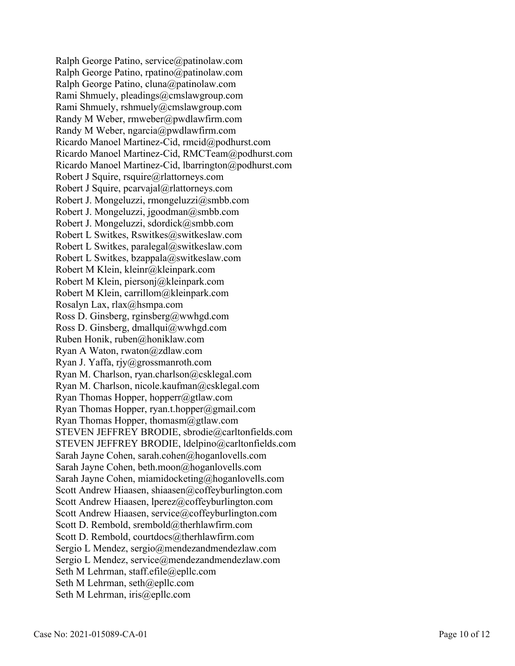Ralph George Patino, service@patinolaw.com Ralph George Patino, rpatino@patinolaw.com Ralph George Patino, cluna@patinolaw.com Rami Shmuely, pleadings@cmslawgroup.com Rami Shmuely, rshmuely@cmslawgroup.com Randy M Weber, rmweber@pwdlawfirm.com Randy M Weber, ngarcia@pwdlawfirm.com Ricardo Manoel Martinez-Cid, rmcid@podhurst.com Ricardo Manoel Martinez-Cid, RMCTeam@podhurst.com Ricardo Manoel Martinez-Cid, lbarrington@podhurst.com Robert J Squire, rsquire@rlattorneys.com Robert J Squire, pcarvajal@rlattorneys.com Robert J. Mongeluzzi, rmongeluzzi@smbb.com Robert J. Mongeluzzi, jgoodman@smbb.com Robert J. Mongeluzzi, sdordick@smbb.com Robert L Switkes, Rswitkes@switkeslaw.com Robert L Switkes, paralegal@switkeslaw.com Robert L Switkes, bzappala@switkeslaw.com Robert M Klein, kleinr@kleinpark.com Robert M Klein, piersonj@kleinpark.com Robert M Klein, carrillom@kleinpark.com Rosalyn Lax, rlax@hsmpa.com Ross D. Ginsberg, rginsberg@wwhgd.com Ross D. Ginsberg, dmallqui@wwhgd.com Ruben Honik, ruben@honiklaw.com Ryan A Waton, rwaton@zdlaw.com Ryan J. Yaffa, rjy@grossmanroth.com Ryan M. Charlson, ryan.charlson@csklegal.com Ryan M. Charlson, nicole.kaufman@csklegal.com Ryan Thomas Hopper, hopperr@gtlaw.com Ryan Thomas Hopper, ryan.t.hopper@gmail.com Ryan Thomas Hopper, thomasm@gtlaw.com STEVEN JEFFREY BRODIE, sbrodie@carltonfields.com STEVEN JEFFREY BRODIE, ldelpino@carltonfields.com Sarah Jayne Cohen, sarah.cohen@hoganlovells.com Sarah Jayne Cohen, beth.moon@hoganlovells.com Sarah Jayne Cohen, miamidocketing@hoganlovells.com Scott Andrew Hiaasen, shiaasen@coffeyburlington.com Scott Andrew Hiaasen, lperez@coffeyburlington.com Scott Andrew Hiaasen, service@coffeyburlington.com Scott D. Rembold, srembold@therhlawfirm.com Scott D. Rembold, courtdocs@therhlawfirm.com Sergio L Mendez, sergio@mendezandmendezlaw.com Sergio L Mendez, service@mendezandmendezlaw.com Seth M Lehrman, staff.efile@epllc.com Seth M Lehrman, seth@epllc.com Seth M Lehrman, iris@epllc.com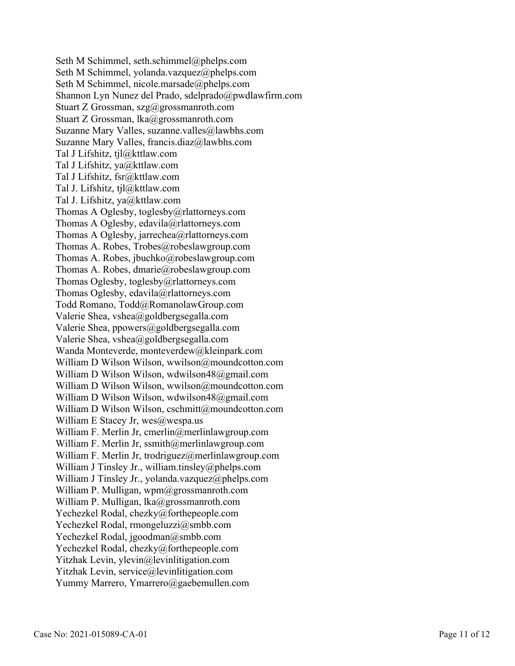Seth M Schimmel, seth.schimmel@phelps.com Seth M Schimmel, yolanda.vazquez@phelps.com Seth M Schimmel, nicole.marsade@phelps.com Shannon Lyn Nunez del Prado, sdelprado@pwdlawfirm.com Stuart Z Grossman, szg@grossmanroth.com Stuart Z Grossman, lka@grossmanroth.com Suzanne Mary Valles, suzanne.valles@lawbhs.com Suzanne Mary Valles, francis.diaz@lawbhs.com Tal J Lifshitz, tjl@kttlaw.com Tal J Lifshitz, ya@kttlaw.com Tal J Lifshitz, fsr@kttlaw.com Tal J. Lifshitz, tjl@kttlaw.com Tal J. Lifshitz, ya@kttlaw.com Thomas A Oglesby, toglesby@rlattorneys.com Thomas A Oglesby, edavila@rlattorneys.com Thomas A Oglesby, jarrechea@rlattorneys.com Thomas A. Robes, Trobes@robeslawgroup.com Thomas A. Robes, jbuchko@robeslawgroup.com Thomas A. Robes, dmarie@robeslawgroup.com Thomas Oglesby, toglesby@rlattorneys.com Thomas Oglesby, edavila@rlattorneys.com Todd Romano, Todd@RomanolawGroup.com Valerie Shea, vshea@goldbergsegalla.com Valerie Shea, ppowers@goldbergsegalla.com Valerie Shea, vshea@goldbergsegalla.com Wanda Monteverde, monteverdew@kleinpark.com William D Wilson Wilson, wwilson@moundcotton.com William D Wilson Wilson, wdwilson48@gmail.com William D Wilson Wilson, wwilson@moundcotton.com William D Wilson Wilson, wdwilson48@gmail.com William D Wilson Wilson, cschmitt@moundcotton.com William E Stacey Jr,  $wes@wespa.us$ William F. Merlin Jr, cmerlin@merlinlawgroup.com William F. Merlin Jr, ssmith@merlinlawgroup.com William F. Merlin Jr, trodriguez@merlinlawgroup.com William J Tinsley Jr., william.tinsley@phelps.com William J Tinsley Jr., yolanda.vazquez@phelps.com William P. Mulligan, wpm@grossmanroth.com William P. Mulligan, lka@grossmanroth.com Yechezkel Rodal, chezky@forthepeople.com Yechezkel Rodal, rmongeluzzi@smbb.com Yechezkel Rodal, jgoodman@smbb.com Yechezkel Rodal, chezky@forthepeople.com Yitzhak Levin, ylevin@levinlitigation.com Yitzhak Levin, service@levinlitigation.com Yummy Marrero, Ymarrero@gaebemullen.com